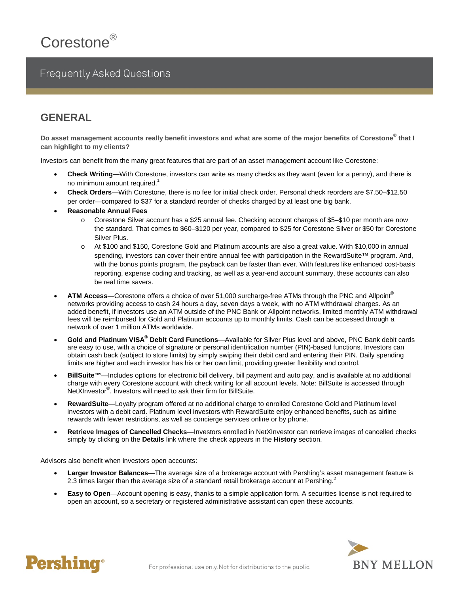# **Frequently Asked Questions**

# **GENERAL**

**Do asset management accounts really benefit investors and what are some of the major benefits of Corestone® that I can highlight to my clients?**

Investors can benefit from the many great features that are part of an asset management account like Corestone:

- **Check Writing**—With Corestone, investors can write as many checks as they want (even for a penny), and there is no minimum amount required.<sup>1</sup>
- **Check Orders**—With Corestone, there is no fee for initial check order. Personal check reorders are \$7.50–\$12.50 per order—compared to \$37 for a standard reorder of checks charged by at least one big bank.
- **Reasonable Annual Fees** 
	- o Corestone Silver account has a \$25 annual fee. Checking account charges of \$5–\$10 per month are now the standard. That comes to \$60–\$120 per year, compared to \$25 for Corestone Silver or \$50 for Corestone Silver Plus.
	- o At \$100 and \$150, Corestone Gold and Platinum accounts are also a great value. With \$10,000 in annual spending, investors can cover their entire annual fee with participation in the RewardSuite™ program. And, with the bonus points program, the payback can be faster than ever. With features like enhanced cost-basis reporting, expense coding and tracking, as well as a year-end account summary, these accounts can also be real time savers.
- **ATM Access**—Corestone offers a choice of over 51,000 surcharge-free ATMs through the PNC and Allpoint® networks providing access to cash 24 hours a day, seven days a week, with no ATM withdrawal charges. As an added benefit, if investors use an ATM outside of the PNC Bank or Allpoint networks, limited monthly ATM withdrawal fees will be reimbursed for Gold and Platinum accounts up to monthly limits. Cash can be accessed through a network of over 1 million ATMs worldwide.
- **Gold and Platinum VISA® Debit Card Functions**—Available for Silver Plus level and above, PNC Bank debit cards are easy to use, with a choice of signature or personal identification number (PIN)-based functions. Investors can obtain cash back (subject to store limits) by simply swiping their debit card and entering their PIN. Daily spending limits are higher and each investor has his or her own limit, providing greater flexibility and control.
- **BillSuite™—Includes options for electronic bill delivery, bill payment and auto pay, and is available at no additional** charge with every Corestone account with check writing for all account levels. Note: BillSuite is accessed through NetXInvestor<sup>®</sup>. Investors will need to ask their firm for BillSuite.
- **RewardSuite**—Loyalty program offered at no additional charge to enrolled Corestone Gold and Platinum level investors with a debit card. Platinum level investors with RewardSuite enjoy enhanced benefits, such as airline rewards with fewer restrictions, as well as concierge services online or by phone.
- **Retrieve Images of Cancelled Checks**—Investors enrolled in NetXInvestor can retrieve images of cancelled checks simply by clicking on the **Details** link where the check appears in the **History** section.

Advisors also benefit when investors open accounts:

- **Larger Investor Balances**—The average size of a brokerage account with Pershing's asset management feature is 2.3 times larger than the average size of a standard retail brokerage account at Pershing.<sup>2</sup>
- **Easy to Open**—Account opening is easy, thanks to a simple application form. A securities license is not required to open an account, so a secretary or registered administrative assistant can open these accounts.



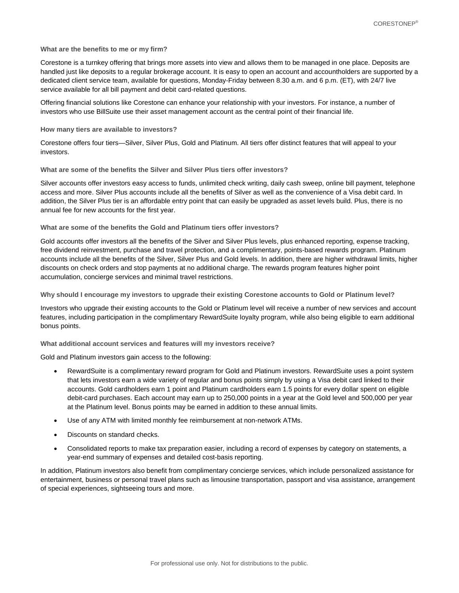#### **What are the benefits to me or my firm?**

Corestone is a turnkey offering that brings more assets into view and allows them to be managed in one place. Deposits are handled just like deposits to a regular brokerage account. It is easy to open an account and accountholders are supported by a dedicated client service team, available for questions, Monday-Friday between 8.30 a.m. and 6 p.m. (ET), with 24/7 live service available for all bill payment and debit card-related questions.

Offering financial solutions like Corestone can enhance your relationship with your investors. For instance, a number of investors who use BillSuite use their asset management account as the central point of their financial life.

#### **How many tiers are available to investors?**

Corestone offers four tiers—Silver, Silver Plus, Gold and Platinum. All tiers offer distinct features that will appeal to your investors.

# **What are some of the benefits the Silver and Silver Plus tiers offer investors?**

Silver accounts offer investors easy access to funds, unlimited check writing, daily cash sweep, online bill payment, telephone access and more. Silver Plus accounts include all the benefits of Silver as well as the convenience of a Visa debit card. In addition, the Silver Plus tier is an affordable entry point that can easily be upgraded as asset levels build. Plus, there is no annual fee for new accounts for the first year.

### **What are some of the benefits the Gold and Platinum tiers offer investors?**

Gold accounts offer investors all the benefits of the Silver and Silver Plus levels, plus enhanced reporting, expense tracking, free dividend reinvestment, purchase and travel protection, and a complimentary, points-based rewards program. Platinum accounts include all the benefits of the Silver, Silver Plus and Gold levels. In addition, there are higher withdrawal limits, higher discounts on check orders and stop payments at no additional charge. The rewards program features higher point accumulation, concierge services and minimal travel restrictions.

**Why should I encourage my investors to upgrade their existing Corestone accounts to Gold or Platinum level?**

Investors who upgrade their existing accounts to the Gold or Platinum level will receive a number of new services and account features, including participation in the complimentary RewardSuite loyalty program, while also being eligible to earn additional bonus points.

**What additional account services and features will my investors receive?**

Gold and Platinum investors gain access to the following:

- RewardSuite is a complimentary reward program for Gold and Platinum investors. RewardSuite uses a point system that lets investors earn a wide variety of regular and bonus points simply by using a Visa debit card linked to their accounts. Gold cardholders earn 1 point and Platinum cardholders earn 1.5 points for every dollar spent on eligible debit-card purchases. Each account may earn up to 250,000 points in a year at the Gold level and 500,000 per year at the Platinum level. Bonus points may be earned in addition to these annual limits.
- Use of any ATM with limited monthly fee reimbursement at non-network ATMs.
- Discounts on standard checks.
- Consolidated reports to make tax preparation easier, including a record of expenses by category on statements, a year-end summary of expenses and detailed cost-basis reporting.

In addition, Platinum investors also benefit from complimentary concierge services, which include personalized assistance for entertainment, business or personal travel plans such as limousine transportation, passport and visa assistance, arrangement of special experiences, sightseeing tours and more.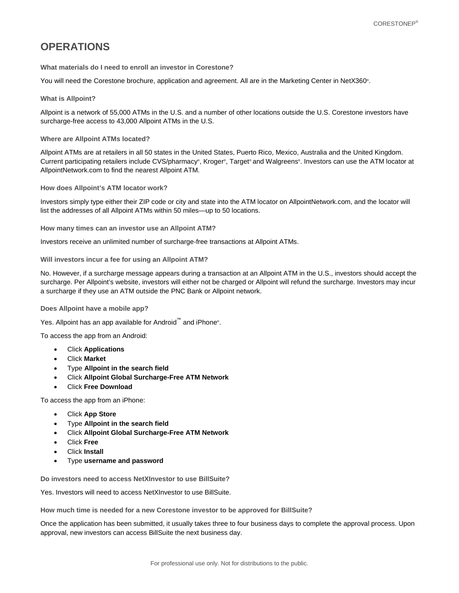# **OPERATIONS**

**What materials do I need to enroll an investor in Corestone?** 

You will need the Corestone brochure, application and agreement. All are in the Marketing Center in NetX360® .

### **What is Allpoint?**

Allpoint is a network of 55,000 ATMs in the U.S. and a number of other locations outside the U.S. Corestone investors have surcharge-free access to 43,000 Allpoint ATMs in the U.S.

### **Where are Allpoint ATMs located?**

Allpoint ATMs are at retailers in all 50 states in the United States, Puerto Rico, Mexico, Australia and the United Kingdom. Current participating retailers include CVS/pharmacy® , Kroger® , Target® and Walgreens® . Investors can use the ATM locator at AllpointNetwork.com to find the nearest Allpoint ATM.

**How does Allpoint's ATM locator work?** 

Investors simply type either their ZIP code or city and state into the ATM locator on AllpointNetwork.com, and the locator will list the addresses of all Allpoint ATMs within 50 miles—up to 50 locations.

**How many times can an investor use an Allpoint ATM?** 

Investors receive an unlimited number of surcharge-free transactions at Allpoint ATMs.

### **Will investors incur a fee for using an Allpoint ATM?**

No. However, if a surcharge message appears during a transaction at an Allpoint ATM in the U.S., investors should accept the surcharge. Per Allpoint's website, investors will either not be charged or Allpoint will refund the surcharge. Investors may incur a surcharge if they use an ATM outside the PNC Bank or Allpoint network.

# **Does Allpoint have a mobile app?**

Yes. Allpoint has an app available for Android™ and iPhone®.

To access the app from an Android:

- Click **Applications**
- Click **Market**
- Type **Allpoint in the search field**
- Click **Allpoint Global Surcharge-Free ATM Network**
- Click **Free Download**

To access the app from an iPhone:

- Click **App Store**
- Type **Allpoint in the search field**
- Click **Allpoint Global Surcharge-Free ATM Network**
- Click **Free**
- Click **Install**
- Type **username and password**

**Do investors need to access NetXInvestor to use BillSuite?** 

Yes. Investors will need to access NetXInvestor to use BillSuite.

**How much time is needed for a new Corestone investor to be approved for BillSuite?** 

Once the application has been submitted, it usually takes three to four business days to complete the approval process. Upon approval, new investors can access BillSuite the next business day.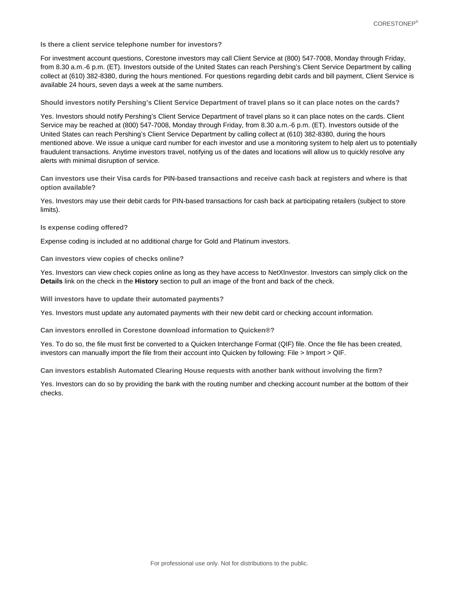**Is there a client service telephone number for investors?** 

For investment account questions, Corestone investors may call Client Service at (800) 547-7008, Monday through Friday, from 8.30 a.m.-6 p.m. (ET). Investors outside of the United States can reach Pershing's Client Service Department by calling collect at (610) 382-8380, during the hours mentioned. For questions regarding debit cards and bill payment, Client Service is available 24 hours, seven days a week at the same numbers.

**Should investors notify Pershing's Client Service Department of travel plans so it can place notes on the cards?** 

Yes. Investors should notify Pershing's Client Service Department of travel plans so it can place notes on the cards. Client Service may be reached at (800) 547-7008, Monday through Friday, from 8.30 a.m.-6 p.m. (ET). Investors outside of the United States can reach Pershing's Client Service Department by calling collect at (610) 382-8380, during the hours mentioned above. We issue a unique card number for each investor and use a monitoring system to help alert us to potentially fraudulent transactions. Anytime investors travel, notifying us of the dates and locations will allow us to quickly resolve any alerts with minimal disruption of service.

**Can investors use their Visa cards for PIN-based transactions and receive cash back at registers and where is that option available?** 

Yes. Investors may use their debit cards for PIN-based transactions for cash back at participating retailers (subject to store limits).

**Is expense coding offered?** 

Expense coding is included at no additional charge for Gold and Platinum investors.

**Can investors view copies of checks online?** 

Yes. Investors can view check copies online as long as they have access to NetXInvestor. Investors can simply click on the **Details** link on the check in the **History** section to pull an image of the front and back of the check.

**Will investors have to update their automated payments?** 

Yes. Investors must update any automated payments with their new debit card or checking account information.

**Can investors enrolled in Corestone download information to Quicken®?** 

Yes. To do so, the file must first be converted to a Quicken Interchange Format (QIF) file. Once the file has been created, investors can manually import the file from their account into Quicken by following: File > Import > QIF.

**Can investors establish Automated Clearing House requests with another bank without involving the firm?** 

Yes. Investors can do so by providing the bank with the routing number and checking account number at the bottom of their checks.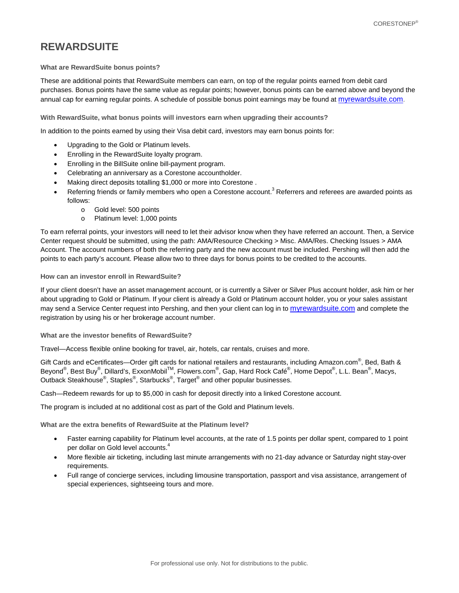# **REWARDSUITE**

# **What are RewardSuite bonus points?**

These are additional points that RewardSuite members can earn, on top of the regular points earned from debit card purchases. Bonus points have the same value as regular points; however, bonus points can be earned above and beyond the annual cap for earning regular points. A schedule of possible bonus point earnings may be found at [myrewardsuite.com.](http://myrewardsuite.com/)

# **With RewardSuite, what bonus points will investors earn when upgrading their accounts?**

In addition to the points earned by using their Visa debit card, investors may earn bonus points for:

- Upgrading to the Gold or Platinum levels.
- Enrolling in the RewardSuite loyalty program.
- Enrolling in the BillSuite online bill-payment program.
- Celebrating an anniversary as a Corestone accountholder.
- Making direct deposits totalling \$1,000 or more into Corestone .
- Referring friends or family members who open a Corestone account.<sup>3</sup> Referrers and referees are awarded points as follows:
	- o Gold level: 500 points
	- o Platinum level: 1,000 points

To earn referral points, your investors will need to let their advisor know when they have referred an account. Then, a Service Center request should be submitted, using the path: AMA/Resource Checking > Misc. AMA/Res. Checking Issues > AMA Account. The account numbers of both the referring party and the new account must be included. Pershing will then add the points to each party's account. Please allow two to three days for bonus points to be credited to the accounts.

# **How can an investor enroll in RewardSuite?**

If your client doesn't have an asset management account, or is currently a Silver or Silver Plus account holder, ask him or her about upgrading to Gold or Platinum. If your client is already a Gold or Platinum account holder, you or your sales assistant may send a Service Center request into Pershing, and then your client can log in to [myrewardsuite.com](http://www.myrewardsuite.com/) and complete the registration by using his or her brokerage account number.

**What are the investor benefits of RewardSuite?**

Travel—Access flexible online booking for travel, air, hotels, car rentals, cruises and more.

Gift Cards and eCertificates—Order gift cards for national retailers and restaurants, including Amazon.com<sup>®</sup>, Bed, Bath & Beyond<sup>®</sup>, Best Buy<sup>®</sup>, Dillard's, ExxonMobil<sup>™,</sup> Flowers.com<sup>®</sup>, Gap, Hard Rock Café<sup>®</sup>, Home Depot<sup>®</sup>, L.L. Bean<sup>®</sup>, Macys, Outback Steakhouse<sup>®</sup>, Staples<sup>®</sup>, Starbucks<sup>®</sup>, Target<sup>®</sup> and other popular businesses.

Cash—Redeem rewards for up to \$5,000 in cash for deposit directly into a linked Corestone account.

The program is included at no additional cost as part of the Gold and Platinum levels.

**What are the extra benefits of RewardSuite at the Platinum level?**

- Faster earning capability for Platinum level accounts, at the rate of 1.5 points per dollar spent, compared to 1 point per dollar on Gold level accounts.<sup>4</sup>
- More flexible air ticketing, including last minute arrangements with no 21-day advance or Saturday night stay-over requirements.
- Full range of concierge services, including limousine transportation, passport and visa assistance, arrangement of special experiences, sightseeing tours and more.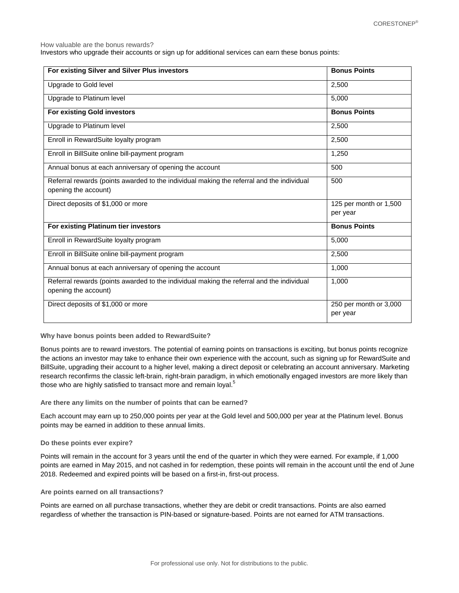How valuable are the bonus rewards?

Investors who upgrade their accounts or sign up for additional services can earn these bonus points:

| For existing Silver and Silver Plus investors                                                                     | <b>Bonus Points</b>                |
|-------------------------------------------------------------------------------------------------------------------|------------------------------------|
| Upgrade to Gold level                                                                                             | 2,500                              |
| Upgrade to Platinum level                                                                                         | 5,000                              |
| <b>For existing Gold investors</b>                                                                                | <b>Bonus Points</b>                |
| Upgrade to Platinum level                                                                                         | 2,500                              |
| Enroll in RewardSuite loyalty program                                                                             | 2,500                              |
| Enroll in BillSuite online bill-payment program                                                                   | 1,250                              |
| Annual bonus at each anniversary of opening the account                                                           | 500                                |
| Referral rewards (points awarded to the individual making the referral and the individual<br>opening the account) | 500                                |
| Direct deposits of \$1,000 or more                                                                                | 125 per month or 1,500<br>per year |
| For existing Platinum tier investors                                                                              | <b>Bonus Points</b>                |
| Enroll in RewardSuite loyalty program                                                                             | 5,000                              |
| Enroll in BillSuite online bill-payment program                                                                   | 2,500                              |
| Annual bonus at each anniversary of opening the account                                                           | 1.000                              |
| Referral rewards (points awarded to the individual making the referral and the individual<br>opening the account) | 1,000                              |
| Direct deposits of \$1,000 or more                                                                                | 250 per month or 3,000<br>per year |

#### **Why have bonus points been added to RewardSuite?**

Bonus points are to reward investors. The potential of earning points on transactions is exciting, but bonus points recognize the actions an investor may take to enhance their own experience with the account, such as signing up for RewardSuite and BillSuite, upgrading their account to a higher level, making a direct deposit or celebrating an account anniversary. Marketing research reconfirms the classic left-brain, right-brain paradigm, in which emotionally engaged investors are more likely than those who are highly satisfied to transact more and remain loyal.<sup>5</sup>

#### **Are there any limits on the number of points that can be earned?**

Each account may earn up to 250,000 points per year at the Gold level and 500,000 per year at the Platinum level. Bonus points may be earned in addition to these annual limits.

#### **Do these points ever expire?**

Points will remain in the account for 3 years until the end of the quarter in which they were earned. For example, if 1,000 points are earned in May 2015, and not cashed in for redemption, these points will remain in the account until the end of June 2018. Redeemed and expired points will be based on a first-in, first-out process.

#### **Are points earned on all transactions?**

Points are earned on all purchase transactions, whether they are debit or credit transactions. Points are also earned regardless of whether the transaction is PIN-based or signature-based. Points are not earned for ATM transactions.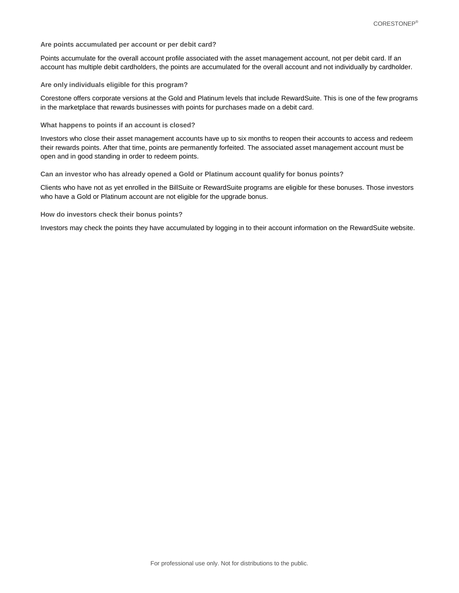#### **Are points accumulated per account or per debit card?**

Points accumulate for the overall account profile associated with the asset management account, not per debit card. If an account has multiple debit cardholders, the points are accumulated for the overall account and not individually by cardholder.

#### **Are only individuals eligible for this program?**

Corestone offers corporate versions at the Gold and Platinum levels that include RewardSuite. This is one of the few programs in the marketplace that rewards businesses with points for purchases made on a debit card.

**What happens to points if an account is closed?**

Investors who close their asset management accounts have up to six months to reopen their accounts to access and redeem their rewards points. After that time, points are permanently forfeited. The associated asset management account must be open and in good standing in order to redeem points.

**Can an investor who has already opened a Gold or Platinum account qualify for bonus points?**

Clients who have not as yet enrolled in the BillSuite or RewardSuite programs are eligible for these bonuses. Those investors who have a Gold or Platinum account are not eligible for the upgrade bonus.

#### **How do investors check their bonus points?**

Investors may check the points they have accumulated by logging in to their account information on the RewardSuite website.